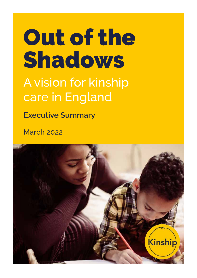# care in England Out of the Shadows A vision for kinship

**Executive Summary**

March 2022

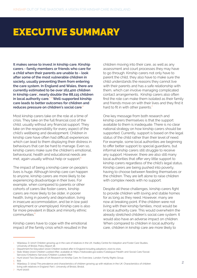## EXECUTIVE SUMMARY

**It makes sense to invest in kinship care. Kinship carers - family members or friends who care for a child when their parents are unable to - look after some of the most vulnerable children in society, usually preventing them from entering the care system. In England and Wales, there are currently estimated to be over 162,400 children in kinship care**<sup>1</sup> **, nearly double the 88,115 children in local authority care.**2, 3 **Well-supported kinship care leads to better outcomes for children and reduces pressure on children's social care**. 4

Most kinship carers take on the role at a time of crisis. They take on the full financial cost of the child, usually without any financial support. They take on the responsibility for every aspect of the child's wellbeing and development. Children in kinship care have often had difficult experiences which can lead to them displaying their distress in behaviours that can be hard to manage. Even so, kinship carers make sure the children's emotional, behavioural, health and educational needs are met, again usually without help or support.<sup>5</sup>

The impact of being a kinship carer on people's lives is huge. Although kinship care can happen to anyone, kinship carers are more likely to be experiencing disadvantage in their lives. For example, when compared to parents or other cohorts of carers like foster carers, kinship carers are more likely to be older, in poorer health, living in poverty and deprivation, living in insecure accommodation, and be in low paid employment or unemployed. Kinship care is also far more prevalent in Black and minority ethnic communities.<sup>6</sup>

Kinship carers have to cope with the emotional impact of the family crisis which resulted in the children moving into their care, as well as any assessment and court processes they may have to go through. Kinship carers not only have to parent the child, they also have to make sure the child understands the reasons they cannot live with their parents and has a safe relationship with them, which can involve managing complicated contact arrangements. Kinship carers also often find the role can make them isolated as their family and friends move on with their lives and they find it hard to fit in with other parents.<sup>7</sup>

One key message from both research and kinship carers themselves is that the support available to them is inadequate. There is no clear national strategy on how kinship carers should be supported. Currently, support is based on the legal status of the child rather than their level of need. For example, some local authorities are beginning to offer better support to special guardians, but informal kinship carers still struggle to receive any support. However, there are also still many local authorities that offer very little support to kinship carers regardless of the child's legal status. Kinship carers are being pushed into poverty, having to choose between feeding themselves or the children. They are left alone to raise children with complex needs with no support.

Despite all these challenges, kinship carers fight to provide children with loving and stable homes for as long as they need. However, many are now at breaking point. If the children were not living with their kinship families, most would be in local authority care. This would overwhelm the already stretched children's social care system. It would also have an adverse impact on children. When compared to children in local authority care, children in kinship care are more likely to

Services/Childrens-Services/Children-Looked-After

<sup>1</sup> Wijedasa, D. (2017) Children growing up in the care of relatives in the UK. Hadley Centre for Adoption and Foster Care Studies, University of Bristol. Policy Report 18.

<sup>2</sup> Department for Education (2021) Children looked after in England including adoptions: 2020 to 2021,

<sup>3</sup> Stats Wales (2021) Children Looked After, available at: https://statswales.gov.wales/Catalogue/Health-and-Social-Care/Social-

<sup>4</sup> Hunt (2020) Two Decades of UK Research on Kinship Care: An Overview, London: Family Rights Group.

<sup>5</sup> Ibid. 6 Wijedasa, D. (2015) The prevalence and characteristics of children growing up with relatives in the UK: Characteristics of children living with relatives in England: Part I, University of Bristol, Bristol.

Hunt (2020).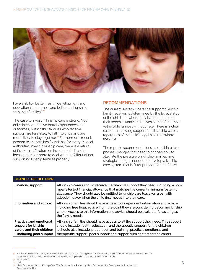

have stability, better health, development and educational outcomes, and better relationships with their families  $8,9$ 

The case to invest in kinship care is strong. Not only do children have better experiences and outcomes, but kinship families who receive support are less likely to fall into crisis and are more likely to stay together.<sup>10</sup> Furthermore, recent economic analysis has found that for every £1 local authorities invest in kinship care, there is a return of £1.20 - a 20% return on investment.<sup>11</sup> It costs local authorities more to deal with the fallout of not supporting kinship families properly.

#### **RECOMMENDATIONS**

The current system where the support a kinship family receives is determined by the legal status of the child and where they live rather than on their needs is unfair and leaves some of the most vulnerable families without help. There is a clear case for improving support for all kinship carers, regardless of the child's legal status or where they live.

The report's recommendations are split into two phases: changes that need to happen now to alleviate the pressure on kinship families; and strategic changes needed to develop a kinship care system that is fit for purpose for the future.

| <b>CHANGES NEEDED NOW</b>                                                                                      |                                                                                                                                                                                                                                                                                                                                 |
|----------------------------------------------------------------------------------------------------------------|---------------------------------------------------------------------------------------------------------------------------------------------------------------------------------------------------------------------------------------------------------------------------------------------------------------------------------|
| <b>Financial support</b>                                                                                       | All kinship carers should receive the financial support they need, including a non-<br>means tested financial allowance that matches the current minimum fostering<br>allowance. They should also be entitled to kinship care leave (on a par with<br>adoption leave) when the child first moves into their care.               |
| Information and advice                                                                                         | All kinship families should have access to independent information and advice,<br>including free legal advice, from the point they are considering becoming kinship<br>carers. Access to this information and advice should be available for as long as<br>the family needs.                                                    |
| <b>Practical and emotional</b><br>support for kinship<br>carers and their children<br>- including peer support | All kinship families should have access to all the support they need. This support<br>should include health, education, and therapeutic support for the children.<br>It should also include: preparation and training; practical, emotional, and<br>therapeutic support; peer support; and support with contact for the carers. |

 $10$  Ibid.

<sup>8</sup> Sacker, A., Murray, E., Lacey, R. and Maughan, B. (2021) The lifelong health and wellbeing trajectories of people who have been in care: Findings from the Looked-after Children Grown up Project, London: Nuffield Foundation. 9 Hunt (2020).

<sup>11</sup> Nicol Economics (2020) Kinship Care: The Opportunity A Report by Nicol Economics for Grandparents Plus. London: Grandparents Plus.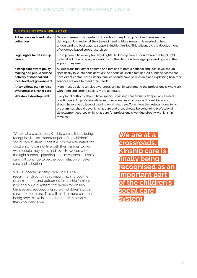| A FUTURE FIT FOR KINSHIP CARE                                                                                    |                                                                                                                                                                                                                                                                                                                                                                                                                                                                    |
|------------------------------------------------------------------------------------------------------------------|--------------------------------------------------------------------------------------------------------------------------------------------------------------------------------------------------------------------------------------------------------------------------------------------------------------------------------------------------------------------------------------------------------------------------------------------------------------------|
| Robust research and data<br>collection                                                                           | Data and research is needed to know how many kinship families there are, their<br>demographics, and what their level of need is. More research is needed to help<br>understand the best ways to support kinship families. This will enable the development<br>of evidence-based support services.                                                                                                                                                                  |
| Legal rights for all kinship<br>carers                                                                           | Kinship carers have very few legal rights. All kinship carers should have the legal right<br>to: legal aid for any legal proceedings for the child; a role in legal proceedings; and the<br>support they need.                                                                                                                                                                                                                                                     |
| Kinship care aware policy<br>making and public service<br>delivery at national and<br>local levels of government | All decisions that affect children and families at both a national and local level should<br>specifically take into consideration the needs of kinship families. All public services that<br>have direct contact with kinship families should have policies in place explaining how their<br>services are able to meet their needs.                                                                                                                                |
| An ambitious plan to raise<br>awareness of kinship care                                                          | More must be done to raise awareness of kinship care among the professionals who work<br>with them and among society more generally.                                                                                                                                                                                                                                                                                                                               |
| Workforce development                                                                                            | Every local authority should have specialist kinship care teams with specially trained<br>practitioners. All professionals from other agencies who work with kinship carers<br>should have a basic level of training on kinship care. To achieve this, relevant qualifying<br>programmes should cover kinship care and there should be continuing professional<br>development courses on kinship care for professionals working directly with kinship<br>families. |

We are at a crossroads. Kinship care is finally being recognised as an important part of the children's social care system. It offers a positive alternative for children who cannot live with their parents to live with people they know and love. However, without the right support, planning, and investment, kinship care will continue to be the poor relation of foster care and adoption.

Well-supported kinship care works. The recommendations in this report will improve the circumstances and outcomes for kinship families now and build a system that works for kinship families and reduces pressure on children's social care into the future. This will lead to more children being able to live in stable homes with people they know and love.

**We are at a crossroads. Kinship care is finally being recognised as an important part of the children's social care system.**